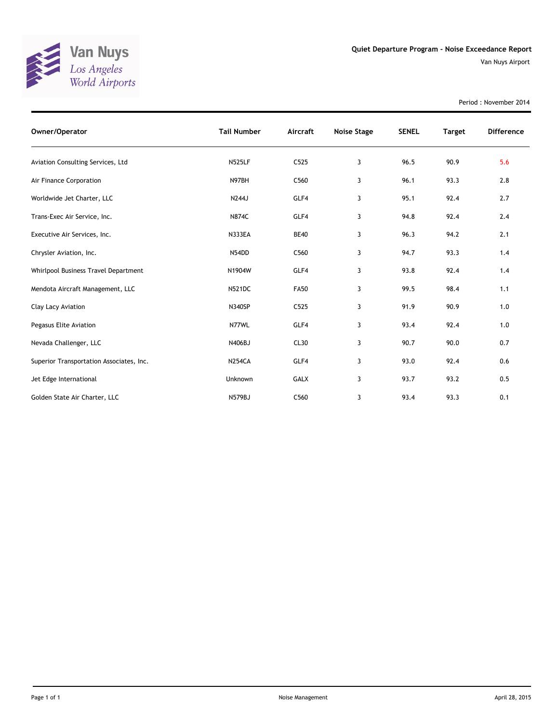

Period : November 2014

| Owner/Operator                           | <b>Tail Number</b> | Aircraft    | Noise Stage | <b>SENEL</b> | <b>Target</b> | <b>Difference</b> |
|------------------------------------------|--------------------|-------------|-------------|--------------|---------------|-------------------|
| Aviation Consulting Services, Ltd        | <b>N525LF</b>      | C525        | 3           | 96.5         | 90.9          | 5.6               |
| Air Finance Corporation                  | N97BH              | C560        | 3           | 96.1         | 93.3          | 2.8               |
| Worldwide Jet Charter, LLC               | N244J              | GLF4        | 3           | 95.1         | 92.4          | 2.7               |
| Trans-Exec Air Service, Inc.             | <b>N874C</b>       | GLF4        | 3           | 94.8         | 92.4          | 2.4               |
| Executive Air Services, Inc.             | <b>N333EA</b>      | <b>BE40</b> | 3           | 96.3         | 94.2          | 2.1               |
| Chrysler Aviation, Inc.                  | N54DD              | C560        | 3           | 94.7         | 93.3          | 1.4               |
| Whirlpool Business Travel Department     | N1904W             | GLF4        | 3           | 93.8         | 92.4          | 1.4               |
| Mendota Aircraft Management, LLC         | <b>N521DC</b>      | <b>FA50</b> | 3           | 99.5         | 98.4          | 1.1               |
| Clay Lacy Aviation                       | <b>N340SP</b>      | C525        | 3           | 91.9         | 90.9          | 1.0               |
| Pegasus Elite Aviation                   | N77WL              | GLF4        | 3           | 93.4         | 92.4          | 1.0               |
| Nevada Challenger, LLC                   | N406BJ             | CL30        | 3           | 90.7         | 90.0          | 0.7               |
| Superior Transportation Associates, Inc. | <b>N254CA</b>      | GLF4        | 3           | 93.0         | 92.4          | 0.6               |
| Jet Edge International                   | Unknown            | <b>GALX</b> | 3           | 93.7         | 93.2          | 0.5               |
| Golden State Air Charter, LLC            | <b>N579BJ</b>      | C560        | 3           | 93.4         | 93.3          | 0.1               |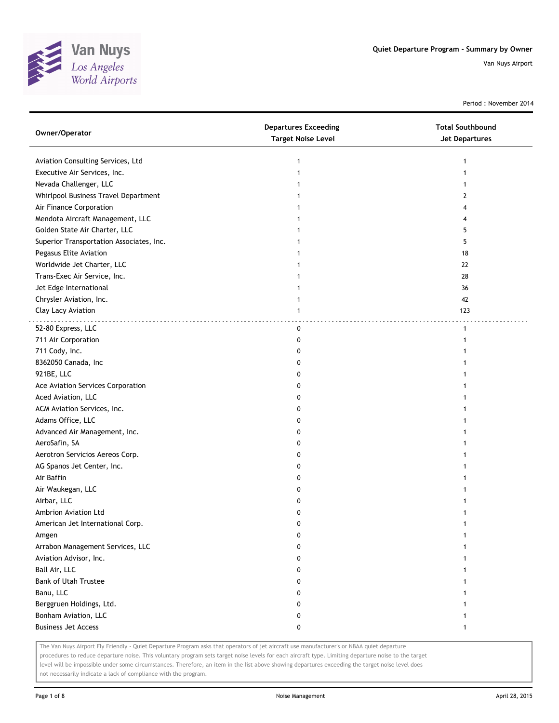

Period : November 2014

| Owner/Operator                           | <b>Departures Exceeding</b><br><b>Target Noise Level</b> | <b>Total Southbound</b><br><b>Jet Departures</b> |
|------------------------------------------|----------------------------------------------------------|--------------------------------------------------|
| Aviation Consulting Services, Ltd        | 1                                                        | 1                                                |
| Executive Air Services, Inc.             |                                                          |                                                  |
| Nevada Challenger, LLC                   |                                                          |                                                  |
| Whirlpool Business Travel Department     |                                                          | 2                                                |
| Air Finance Corporation                  |                                                          |                                                  |
| Mendota Aircraft Management, LLC         |                                                          |                                                  |
| Golden State Air Charter, LLC            |                                                          | 5                                                |
| Superior Transportation Associates, Inc. |                                                          | 5                                                |
| Pegasus Elite Aviation                   |                                                          | 18                                               |
| Worldwide Jet Charter, LLC               |                                                          | 22                                               |
| Trans-Exec Air Service, Inc.             |                                                          | 28                                               |
| Jet Edge International                   |                                                          | 36                                               |
| Chrysler Aviation, Inc.                  |                                                          | 42                                               |
| Clay Lacy Aviation                       | 1                                                        | 123                                              |
| 52-80 Express, LLC                       | 0                                                        | $\mathbf{1}$                                     |
| 711 Air Corporation                      | 0                                                        | 1                                                |
| 711 Cody, Inc.                           | 0                                                        |                                                  |
| 8362050 Canada, Inc                      | 0                                                        |                                                  |
| 921BE, LLC                               | 0                                                        |                                                  |
| Ace Aviation Services Corporation        | 0                                                        |                                                  |
| Aced Aviation, LLC                       | 0                                                        |                                                  |
| ACM Aviation Services, Inc.              | 0                                                        |                                                  |
| Adams Office, LLC                        | 0                                                        |                                                  |
| Advanced Air Management, Inc.            | 0                                                        |                                                  |
| AeroSafin, SA                            | 0                                                        |                                                  |
| Aerotron Servicios Aereos Corp.          | 0                                                        |                                                  |
| AG Spanos Jet Center, Inc.               | 0                                                        |                                                  |
| Air Baffin                               | 0                                                        |                                                  |
| Air Waukegan, LLC                        | 0                                                        |                                                  |
| Airbar, LLC                              | 0                                                        |                                                  |
| Ambrion Aviation Ltd                     | 0                                                        |                                                  |
| American Jet International Corp.         | U                                                        |                                                  |
| Amgen                                    | 0                                                        | 1                                                |
| Arrabon Management Services, LLC         | 0                                                        |                                                  |
| Aviation Advisor, Inc.                   | 0                                                        |                                                  |
| Ball Air, LLC                            | 0                                                        |                                                  |
| Bank of Utah Trustee                     | 0                                                        |                                                  |
| Banu, LLC                                | 0                                                        |                                                  |
| Berggruen Holdings, Ltd.                 | 0                                                        |                                                  |
| Bonham Aviation, LLC                     | 0                                                        |                                                  |
| <b>Business Jet Access</b>               | 0                                                        | 1                                                |

The Van Nuys Airport Fly Friendly - Quiet Departure Program asks that operators of jet aircraft use manufacturer's or NBAA quiet departure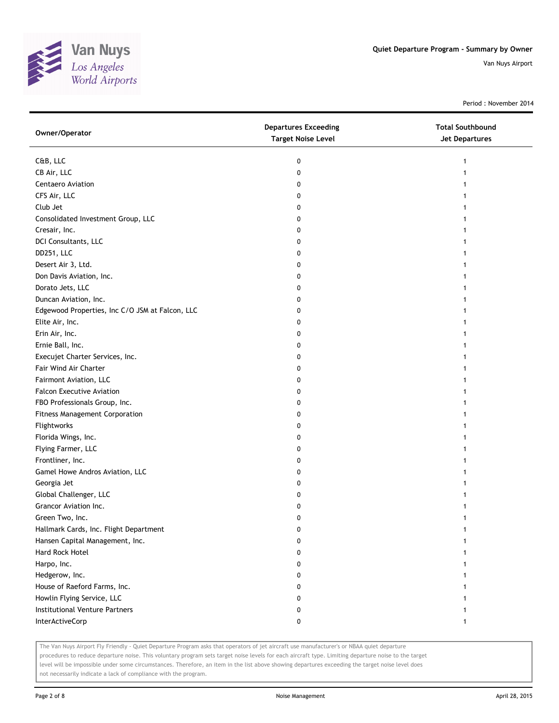

Period : November 2014

| C&B, LLC<br>0<br>CB Air, LLC<br>0<br>Centaero Aviation<br>0<br>CFS Air, LLC<br>0<br>Club Jet<br>0<br>Consolidated Investment Group, LLC<br>0<br>Cresair, Inc.<br>0<br>1<br>DCI Consultants, LLC<br>0<br>DD251, LLC<br>0<br>Desert Air 3, Ltd.<br>0<br>Don Davis Aviation, Inc.<br>0<br>Dorato Jets, LLC<br>0<br>Duncan Aviation, Inc.<br>0<br>Edgewood Properties, Inc C/O JSM at Falcon, LLC<br>0<br>Elite Air, Inc.<br>0<br>Erin Air, Inc.<br>0<br>Ernie Ball, Inc.<br>0<br>Execujet Charter Services, Inc.<br>0<br>Fair Wind Air Charter<br>0<br>Fairmont Aviation, LLC<br>0<br><b>Falcon Executive Aviation</b><br>0<br>FBO Professionals Group, Inc.<br>0<br><b>Fitness Management Corporation</b><br>0<br>Flightworks<br>0<br>Florida Wings, Inc.<br>0<br>Flying Farmer, LLC<br>0<br>Frontliner, Inc.<br>0<br>Gamel Howe Andros Aviation, LLC<br>0<br>Georgia Jet<br>0<br>Global Challenger, LLC<br>0<br>Grancor Aviation Inc.<br>0 | Owner/Operator  | <b>Departures Exceeding</b><br><b>Target Noise Level</b> | <b>Total Southbound</b><br><b>Jet Departures</b> |
|-------------------------------------------------------------------------------------------------------------------------------------------------------------------------------------------------------------------------------------------------------------------------------------------------------------------------------------------------------------------------------------------------------------------------------------------------------------------------------------------------------------------------------------------------------------------------------------------------------------------------------------------------------------------------------------------------------------------------------------------------------------------------------------------------------------------------------------------------------------------------------------------------------------------------------------------|-----------------|----------------------------------------------------------|--------------------------------------------------|
|                                                                                                                                                                                                                                                                                                                                                                                                                                                                                                                                                                                                                                                                                                                                                                                                                                                                                                                                           |                 |                                                          |                                                  |
|                                                                                                                                                                                                                                                                                                                                                                                                                                                                                                                                                                                                                                                                                                                                                                                                                                                                                                                                           |                 |                                                          |                                                  |
|                                                                                                                                                                                                                                                                                                                                                                                                                                                                                                                                                                                                                                                                                                                                                                                                                                                                                                                                           |                 |                                                          |                                                  |
|                                                                                                                                                                                                                                                                                                                                                                                                                                                                                                                                                                                                                                                                                                                                                                                                                                                                                                                                           |                 |                                                          |                                                  |
|                                                                                                                                                                                                                                                                                                                                                                                                                                                                                                                                                                                                                                                                                                                                                                                                                                                                                                                                           |                 |                                                          |                                                  |
|                                                                                                                                                                                                                                                                                                                                                                                                                                                                                                                                                                                                                                                                                                                                                                                                                                                                                                                                           |                 |                                                          |                                                  |
|                                                                                                                                                                                                                                                                                                                                                                                                                                                                                                                                                                                                                                                                                                                                                                                                                                                                                                                                           |                 |                                                          |                                                  |
|                                                                                                                                                                                                                                                                                                                                                                                                                                                                                                                                                                                                                                                                                                                                                                                                                                                                                                                                           |                 |                                                          |                                                  |
|                                                                                                                                                                                                                                                                                                                                                                                                                                                                                                                                                                                                                                                                                                                                                                                                                                                                                                                                           |                 |                                                          |                                                  |
|                                                                                                                                                                                                                                                                                                                                                                                                                                                                                                                                                                                                                                                                                                                                                                                                                                                                                                                                           |                 |                                                          |                                                  |
|                                                                                                                                                                                                                                                                                                                                                                                                                                                                                                                                                                                                                                                                                                                                                                                                                                                                                                                                           |                 |                                                          |                                                  |
|                                                                                                                                                                                                                                                                                                                                                                                                                                                                                                                                                                                                                                                                                                                                                                                                                                                                                                                                           |                 |                                                          |                                                  |
|                                                                                                                                                                                                                                                                                                                                                                                                                                                                                                                                                                                                                                                                                                                                                                                                                                                                                                                                           |                 |                                                          |                                                  |
|                                                                                                                                                                                                                                                                                                                                                                                                                                                                                                                                                                                                                                                                                                                                                                                                                                                                                                                                           |                 |                                                          |                                                  |
|                                                                                                                                                                                                                                                                                                                                                                                                                                                                                                                                                                                                                                                                                                                                                                                                                                                                                                                                           |                 |                                                          |                                                  |
|                                                                                                                                                                                                                                                                                                                                                                                                                                                                                                                                                                                                                                                                                                                                                                                                                                                                                                                                           |                 |                                                          |                                                  |
|                                                                                                                                                                                                                                                                                                                                                                                                                                                                                                                                                                                                                                                                                                                                                                                                                                                                                                                                           |                 |                                                          |                                                  |
|                                                                                                                                                                                                                                                                                                                                                                                                                                                                                                                                                                                                                                                                                                                                                                                                                                                                                                                                           |                 |                                                          |                                                  |
|                                                                                                                                                                                                                                                                                                                                                                                                                                                                                                                                                                                                                                                                                                                                                                                                                                                                                                                                           |                 |                                                          |                                                  |
|                                                                                                                                                                                                                                                                                                                                                                                                                                                                                                                                                                                                                                                                                                                                                                                                                                                                                                                                           |                 |                                                          |                                                  |
|                                                                                                                                                                                                                                                                                                                                                                                                                                                                                                                                                                                                                                                                                                                                                                                                                                                                                                                                           |                 |                                                          |                                                  |
|                                                                                                                                                                                                                                                                                                                                                                                                                                                                                                                                                                                                                                                                                                                                                                                                                                                                                                                                           |                 |                                                          |                                                  |
|                                                                                                                                                                                                                                                                                                                                                                                                                                                                                                                                                                                                                                                                                                                                                                                                                                                                                                                                           |                 |                                                          |                                                  |
|                                                                                                                                                                                                                                                                                                                                                                                                                                                                                                                                                                                                                                                                                                                                                                                                                                                                                                                                           |                 |                                                          |                                                  |
|                                                                                                                                                                                                                                                                                                                                                                                                                                                                                                                                                                                                                                                                                                                                                                                                                                                                                                                                           |                 |                                                          |                                                  |
|                                                                                                                                                                                                                                                                                                                                                                                                                                                                                                                                                                                                                                                                                                                                                                                                                                                                                                                                           |                 |                                                          |                                                  |
|                                                                                                                                                                                                                                                                                                                                                                                                                                                                                                                                                                                                                                                                                                                                                                                                                                                                                                                                           |                 |                                                          |                                                  |
|                                                                                                                                                                                                                                                                                                                                                                                                                                                                                                                                                                                                                                                                                                                                                                                                                                                                                                                                           |                 |                                                          |                                                  |
|                                                                                                                                                                                                                                                                                                                                                                                                                                                                                                                                                                                                                                                                                                                                                                                                                                                                                                                                           |                 |                                                          |                                                  |
|                                                                                                                                                                                                                                                                                                                                                                                                                                                                                                                                                                                                                                                                                                                                                                                                                                                                                                                                           |                 |                                                          |                                                  |
|                                                                                                                                                                                                                                                                                                                                                                                                                                                                                                                                                                                                                                                                                                                                                                                                                                                                                                                                           |                 |                                                          |                                                  |
|                                                                                                                                                                                                                                                                                                                                                                                                                                                                                                                                                                                                                                                                                                                                                                                                                                                                                                                                           | Green Two, Inc. | 0                                                        |                                                  |
| Hallmark Cards, Inc. Flight Department<br>0                                                                                                                                                                                                                                                                                                                                                                                                                                                                                                                                                                                                                                                                                                                                                                                                                                                                                               |                 |                                                          |                                                  |
| Hansen Capital Management, Inc.<br>0                                                                                                                                                                                                                                                                                                                                                                                                                                                                                                                                                                                                                                                                                                                                                                                                                                                                                                      |                 |                                                          |                                                  |
| Hard Rock Hotel<br>0                                                                                                                                                                                                                                                                                                                                                                                                                                                                                                                                                                                                                                                                                                                                                                                                                                                                                                                      |                 |                                                          |                                                  |
| Harpo, Inc.<br>0                                                                                                                                                                                                                                                                                                                                                                                                                                                                                                                                                                                                                                                                                                                                                                                                                                                                                                                          |                 |                                                          |                                                  |
| Hedgerow, Inc.<br>0                                                                                                                                                                                                                                                                                                                                                                                                                                                                                                                                                                                                                                                                                                                                                                                                                                                                                                                       |                 |                                                          |                                                  |
| House of Raeford Farms, Inc.<br>0                                                                                                                                                                                                                                                                                                                                                                                                                                                                                                                                                                                                                                                                                                                                                                                                                                                                                                         |                 |                                                          |                                                  |
| Howlin Flying Service, LLC<br>0                                                                                                                                                                                                                                                                                                                                                                                                                                                                                                                                                                                                                                                                                                                                                                                                                                                                                                           |                 |                                                          |                                                  |
| Institutional Venture Partners<br>0                                                                                                                                                                                                                                                                                                                                                                                                                                                                                                                                                                                                                                                                                                                                                                                                                                                                                                       |                 |                                                          |                                                  |
| InterActiveCorp<br>0<br>1                                                                                                                                                                                                                                                                                                                                                                                                                                                                                                                                                                                                                                                                                                                                                                                                                                                                                                                 |                 |                                                          |                                                  |

The Van Nuys Airport Fly Friendly - Quiet Departure Program asks that operators of jet aircraft use manufacturer's or NBAA quiet departure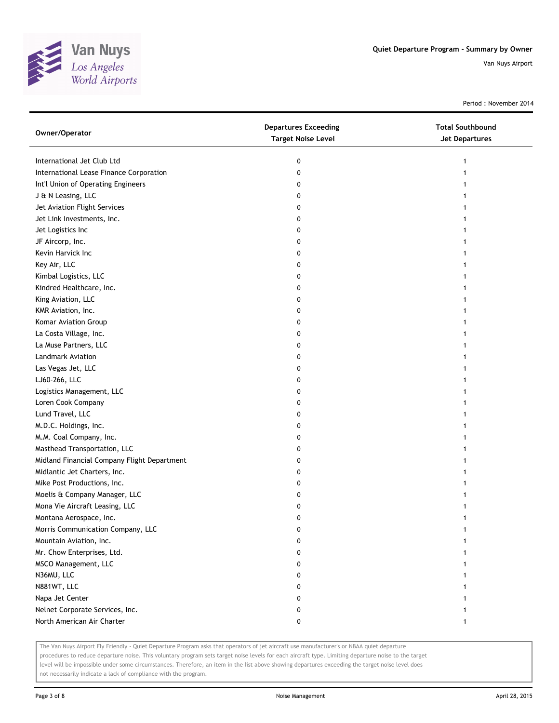

Period : November 2014

| International Jet Club Ltd<br>0<br>1<br>International Lease Finance Corporation<br>0 |  |
|--------------------------------------------------------------------------------------|--|
|                                                                                      |  |
|                                                                                      |  |
| Int'l Union of Operating Engineers<br>0                                              |  |
| J & N Leasing, LLC<br>0                                                              |  |
| Jet Aviation Flight Services<br>0                                                    |  |
| Jet Link Investments, Inc.<br>0                                                      |  |
| Jet Logistics Inc<br>0                                                               |  |
| JF Aircorp, Inc.<br>0                                                                |  |
| Kevin Harvick Inc<br>0                                                               |  |
| Key Air, LLC<br>0                                                                    |  |
| Kimbal Logistics, LLC<br>0                                                           |  |
| Kindred Healthcare, Inc.<br>0                                                        |  |
| King Aviation, LLC<br>0                                                              |  |
| KMR Aviation, Inc.<br>0                                                              |  |
| Komar Aviation Group<br>0                                                            |  |
| La Costa Village, Inc.<br>0                                                          |  |
| La Muse Partners, LLC<br>0                                                           |  |
| Landmark Aviation<br>0                                                               |  |
| Las Vegas Jet, LLC<br>0                                                              |  |
| LJ60-266, LLC<br>0                                                                   |  |
| Logistics Management, LLC<br>0                                                       |  |
| Loren Cook Company<br>0                                                              |  |
| Lund Travel, LLC<br>0                                                                |  |
| M.D.C. Holdings, Inc.<br>0                                                           |  |
| M.M. Coal Company, Inc.<br>0                                                         |  |
| Masthead Transportation, LLC<br>0                                                    |  |
| Midland Financial Company Flight Department<br>0                                     |  |
| Midlantic Jet Charters, Inc.<br>0                                                    |  |
| Mike Post Productions, Inc.<br>0                                                     |  |
| Moelis & Company Manager, LLC<br>0                                                   |  |
| Mona Vie Aircraft Leasing, LLC<br>0                                                  |  |
| Montana Aerospace, Inc.<br>0                                                         |  |
| Morris Communication Company, LLC<br>0                                               |  |
| Mountain Aviation, Inc.<br>0                                                         |  |
| Mr. Chow Enterprises, Ltd.<br>0                                                      |  |
| MSCO Management, LLC<br>0                                                            |  |
| N36MU, LLC<br>0                                                                      |  |
| N881WT, LLC<br>0                                                                     |  |
| Napa Jet Center<br>0                                                                 |  |
| Nelnet Corporate Services, Inc.<br>0                                                 |  |
| North American Air Charter<br>0                                                      |  |

The Van Nuys Airport Fly Friendly - Quiet Departure Program asks that operators of jet aircraft use manufacturer's or NBAA quiet departure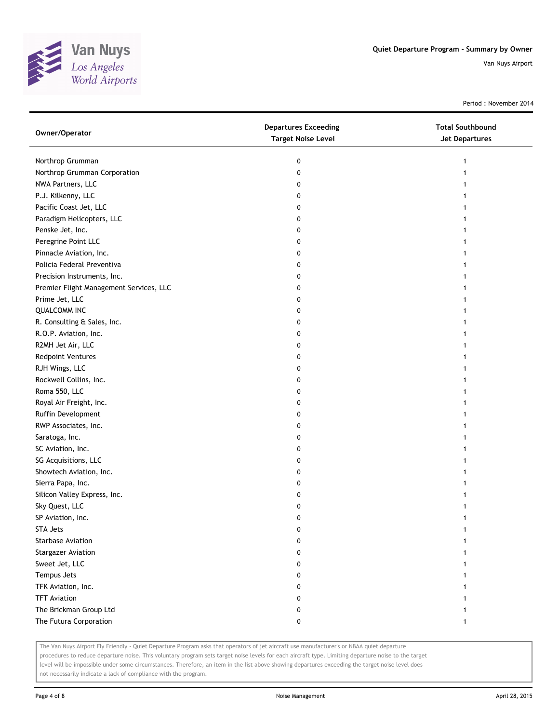

Period : November 2014

| Owner/Operator                          | <b>Departures Exceeding</b><br><b>Target Noise Level</b> | <b>Total Southbound</b><br>Jet Departures |
|-----------------------------------------|----------------------------------------------------------|-------------------------------------------|
| Northrop Grumman                        | 0                                                        |                                           |
| Northrop Grumman Corporation            | 0                                                        |                                           |
| NWA Partners, LLC                       | 0                                                        |                                           |
| P.J. Kilkenny, LLC                      | 0                                                        |                                           |
| Pacific Coast Jet, LLC                  | 0                                                        |                                           |
| Paradigm Helicopters, LLC               | 0                                                        |                                           |
| Penske Jet, Inc.                        | 0                                                        |                                           |
| Peregrine Point LLC                     | 0                                                        |                                           |
| Pinnacle Aviation, Inc.                 | 0                                                        |                                           |
| Policia Federal Preventiva              | 0                                                        |                                           |
| Precision Instruments, Inc.             | 0                                                        |                                           |
| Premier Flight Management Services, LLC | 0                                                        |                                           |
| Prime Jet, LLC                          | 0                                                        |                                           |
| <b>QUALCOMM INC</b>                     | 0                                                        |                                           |
| R. Consulting & Sales, Inc.             | 0                                                        |                                           |
| R.O.P. Aviation, Inc.                   | 0                                                        |                                           |
| R2MH Jet Air, LLC                       | 0                                                        |                                           |
| Redpoint Ventures                       | 0                                                        |                                           |
| RJH Wings, LLC                          | 0                                                        |                                           |
| Rockwell Collins, Inc.                  | 0                                                        |                                           |
| Roma 550, LLC                           | 0                                                        |                                           |
| Royal Air Freight, Inc.                 | 0                                                        |                                           |
| Ruffin Development                      | 0                                                        |                                           |
| RWP Associates, Inc.                    | 0                                                        |                                           |
| Saratoga, Inc.                          | 0                                                        |                                           |
| SC Aviation, Inc.                       | 0                                                        |                                           |
| SG Acquisitions, LLC                    | 0                                                        |                                           |
| Showtech Aviation, Inc.                 | 0                                                        |                                           |
| Sierra Papa, Inc.                       | 0                                                        |                                           |
| Silicon Valley Express, Inc.            | 0                                                        |                                           |
| Sky Quest, LLC                          | 0                                                        |                                           |
| SP Aviation, Inc.                       | 0                                                        |                                           |
| STA Jets                                | 0                                                        |                                           |
| <b>Starbase Aviation</b>                |                                                          |                                           |
| <b>Stargazer Aviation</b>               | o                                                        |                                           |
| Sweet Jet, LLC                          | 0                                                        |                                           |
| Tempus Jets                             | 0                                                        |                                           |
| TFK Aviation, Inc.                      | 0                                                        |                                           |
| <b>TFT Aviation</b>                     | 0                                                        |                                           |
| The Brickman Group Ltd                  | 0                                                        |                                           |
| The Futura Corporation                  | 0                                                        | 1                                         |

The Van Nuys Airport Fly Friendly - Quiet Departure Program asks that operators of jet aircraft use manufacturer's or NBAA quiet departure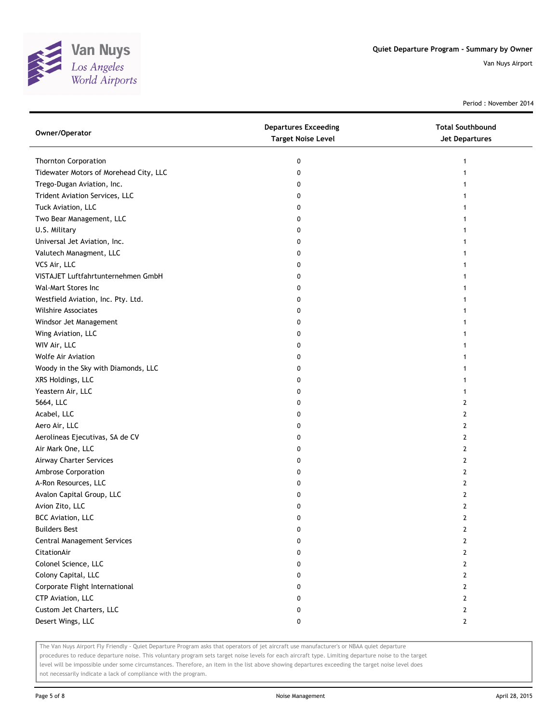

Period : November 2014

| Owner/Operator                         | <b>Departures Exceeding</b><br><b>Target Noise Level</b> | <b>Total Southbound</b><br><b>Jet Departures</b> |
|----------------------------------------|----------------------------------------------------------|--------------------------------------------------|
| <b>Thornton Corporation</b>            | 0                                                        | 1                                                |
| Tidewater Motors of Morehead City, LLC | 0                                                        |                                                  |
| Trego-Dugan Aviation, Inc.             | 0                                                        |                                                  |
| Trident Aviation Services, LLC         | 0                                                        |                                                  |
| Tuck Aviation, LLC                     | 0                                                        |                                                  |
| Two Bear Management, LLC               | 0                                                        |                                                  |
| U.S. Military                          | 0                                                        |                                                  |
| Universal Jet Aviation, Inc.           | 0                                                        | 1                                                |
| Valutech Managment, LLC                | 0                                                        |                                                  |
| VCS Air, LLC                           | 0                                                        |                                                  |
| VISTAJET Luftfahrtunternehmen GmbH     | 0                                                        |                                                  |
| Wal-Mart Stores Inc                    | 0                                                        |                                                  |
| Westfield Aviation, Inc. Pty. Ltd.     | 0                                                        |                                                  |
| Wilshire Associates                    | 0                                                        |                                                  |
| Windsor Jet Management                 | 0                                                        |                                                  |
| Wing Aviation, LLC                     | 0                                                        |                                                  |
| WIV Air, LLC                           | 0                                                        |                                                  |
| <b>Wolfe Air Aviation</b>              | 0                                                        | 1                                                |
| Woody in the Sky with Diamonds, LLC    | 0                                                        |                                                  |
| XRS Holdings, LLC                      | 0                                                        |                                                  |
| Yeastern Air, LLC                      | 0                                                        |                                                  |
| 5664, LLC                              | 0                                                        | 2                                                |
| Acabel, LLC                            | 0                                                        | 2                                                |
| Aero Air, LLC                          | 0                                                        | 2                                                |
| Aerolineas Ejecutivas, SA de CV        | 0                                                        | 2                                                |
| Air Mark One, LLC                      | 0                                                        | 2                                                |
| Airway Charter Services                | 0                                                        | 2                                                |
| Ambrose Corporation                    | 0                                                        | 2                                                |
| A-Ron Resources, LLC                   | 0                                                        | 2                                                |
| Avalon Capital Group, LLC              | 0                                                        | 2                                                |
| Avion Zito, LLC                        | 0                                                        | 2                                                |
| <b>BCC Aviation, LLC</b>               | 0                                                        | 2                                                |
| <b>Builders Best</b>                   | o                                                        | $\mathbf{z}$                                     |
| Central Management Services            | 0                                                        | 2                                                |
| CitationAir                            | 0                                                        | $\overline{2}$                                   |
| Colonel Science, LLC                   | 0                                                        | 2                                                |
| Colony Capital, LLC                    | 0                                                        | 2                                                |
| Corporate Flight International         | 0                                                        | $\mathbf{2}$                                     |
| CTP Aviation, LLC                      | 0                                                        | 2                                                |
| Custom Jet Charters, LLC               | 0                                                        | 2                                                |
| Desert Wings, LLC                      | 0                                                        | 2                                                |

The Van Nuys Airport Fly Friendly - Quiet Departure Program asks that operators of jet aircraft use manufacturer's or NBAA quiet departure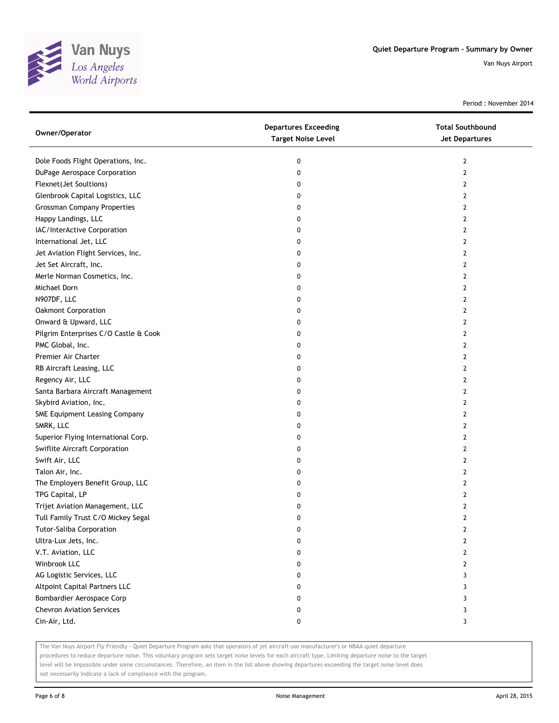

Period : November 2014

| Owner/Operator                        | <b>Departures Exceeding</b><br><b>Target Noise Level</b> | <b>Total Southbound</b><br>Jet Departures |
|---------------------------------------|----------------------------------------------------------|-------------------------------------------|
| Dole Foods Flight Operations, Inc.    | 0                                                        | 2                                         |
| DuPage Aerospace Corporation          | 0                                                        | 2                                         |
| Flexnet(Jet Soultions)                | 0                                                        | 2                                         |
| Glenbrook Capital Logistics, LLC      | 0                                                        | $\mathbf{2}$                              |
| <b>Grossman Company Properties</b>    | 0                                                        | 2                                         |
| Happy Landings, LLC                   | 0                                                        | 2                                         |
| IAC/InterActive Corporation           | 0                                                        | 2                                         |
| International Jet, LLC                | 0                                                        | 2                                         |
| Jet Aviation Flight Services, Inc.    | 0                                                        | $\mathbf{2}$                              |
| Jet Set Aircraft, Inc.                | 0                                                        | 2                                         |
| Merle Norman Cosmetics, Inc.          | 0                                                        | 2                                         |
| Michael Dorn                          | 0                                                        | 2                                         |
| N907DF, LLC                           | 0                                                        | 2                                         |
| Oakmont Corporation                   | 0                                                        | $\mathbf{2}$                              |
| Onward & Upward, LLC                  | 0                                                        | 2                                         |
| Pilgrim Enterprises C/O Castle & Cook | 0                                                        | 2                                         |
| PMC Global, Inc.                      | 0                                                        | 2                                         |
| Premier Air Charter                   | 0                                                        | 2                                         |
| RB Aircraft Leasing, LLC              | 0                                                        | $\mathbf{2}$                              |
| Regency Air, LLC                      | 0                                                        | 2                                         |
| Santa Barbara Aircraft Management     | 0                                                        | 2                                         |
| Skybird Aviation, Inc.                | 0                                                        | 2                                         |
| SME Equipment Leasing Company         | 0                                                        | 2                                         |
| SMRK, LLC                             | 0                                                        | $\mathbf{2}$                              |
| Superior Flying International Corp.   | 0                                                        | 2                                         |
| Swiflite Aircraft Corporation         | 0                                                        | 2                                         |
| Swift Air, LLC                        | 0                                                        | 2                                         |
| Talon Air, Inc.                       | 0                                                        | 2                                         |
| The Employers Benefit Group, LLC      | 0                                                        | $\mathbf{2}$                              |
| TPG Capital, LP                       | 0                                                        | 2                                         |
| Trijet Aviation Management, LLC       | 0                                                        | 2                                         |
| Tull Family Trust C/O Mickey Segal    | 0                                                        | 2                                         |
| Tutor-Saliba Corporation              | 0                                                        | 2                                         |
| Ultra-Lux Jets, Inc.                  | 0                                                        | $\overline{2}$                            |
| V.T. Aviation, LLC                    | 0                                                        | $\overline{2}$                            |
| Winbrook LLC                          | 0                                                        | 2                                         |
| AG Logistic Services, LLC             | 0                                                        | 3                                         |
| <b>Altpoint Capital Partners LLC</b>  | 0                                                        | 3                                         |
| Bombardier Aerospace Corp             | 0                                                        | 3                                         |
| <b>Chevron Aviation Services</b>      | 0                                                        | 3                                         |
| Cin-Air, Ltd.                         | 0                                                        | 3                                         |

The Van Nuys Airport Fly Friendly - Quiet Departure Program asks that operators of jet aircraft use manufacturer's or NBAA quiet departure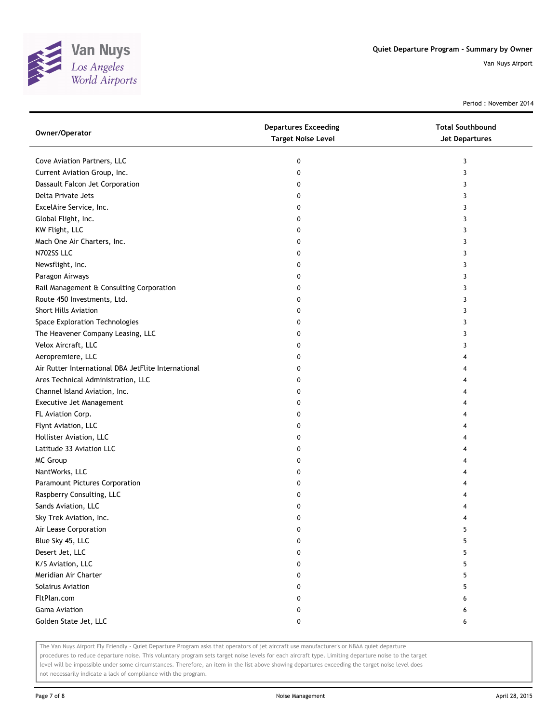

Period : November 2014

| Cove Aviation Partners, LLC<br>0<br>3<br>Current Aviation Group, Inc.<br>0<br>3<br>Dassault Falcon Jet Corporation<br>0<br>3<br>Delta Private Jets<br>3<br>0<br>ExcelAire Service, Inc.<br>0<br>3<br>Global Flight, Inc.<br>0<br>3 |
|------------------------------------------------------------------------------------------------------------------------------------------------------------------------------------------------------------------------------------|
|                                                                                                                                                                                                                                    |
|                                                                                                                                                                                                                                    |
|                                                                                                                                                                                                                                    |
|                                                                                                                                                                                                                                    |
|                                                                                                                                                                                                                                    |
|                                                                                                                                                                                                                                    |
| KW Flight, LLC<br>0<br>3                                                                                                                                                                                                           |
| Mach One Air Charters, Inc.<br>0<br>3                                                                                                                                                                                              |
| N702SS LLC<br>0<br>3                                                                                                                                                                                                               |
| Newsflight, Inc.<br>0<br>3                                                                                                                                                                                                         |
| Paragon Airways<br>0<br>3                                                                                                                                                                                                          |
| Rail Management & Consulting Corporation<br>0<br>3                                                                                                                                                                                 |
| Route 450 Investments, Ltd.<br>3<br>0                                                                                                                                                                                              |
| <b>Short Hills Aviation</b><br>3<br>0                                                                                                                                                                                              |
| Space Exploration Technologies<br>0<br>3                                                                                                                                                                                           |
| The Heavener Company Leasing, LLC<br>0<br>3                                                                                                                                                                                        |
| Velox Aircraft, LLC<br>0<br>3                                                                                                                                                                                                      |
| Aeropremiere, LLC<br>0<br>4                                                                                                                                                                                                        |
| Air Rutter International DBA JetFlite International<br>0<br>4                                                                                                                                                                      |
| Ares Technical Administration, LLC<br>0<br>4                                                                                                                                                                                       |
| Channel Island Aviation, Inc.<br>0<br>4                                                                                                                                                                                            |
| Executive Jet Management<br>0<br>4                                                                                                                                                                                                 |
| FL Aviation Corp.<br>0<br>4                                                                                                                                                                                                        |
| Flynt Aviation, LLC<br>0<br>4                                                                                                                                                                                                      |
| Hollister Aviation, LLC<br>0<br>4                                                                                                                                                                                                  |
| Latitude 33 Aviation LLC<br>0<br>4                                                                                                                                                                                                 |
| MC Group<br>0<br>4                                                                                                                                                                                                                 |
| NantWorks, LLC<br>0<br>4                                                                                                                                                                                                           |
| Paramount Pictures Corporation<br>0<br>4                                                                                                                                                                                           |
| Raspberry Consulting, LLC<br>0                                                                                                                                                                                                     |
| Sands Aviation, LLC<br>0<br>4                                                                                                                                                                                                      |
| Sky Trek Aviation, Inc.<br>0<br>4                                                                                                                                                                                                  |
| Air Lease Corporation<br>0<br>5                                                                                                                                                                                                    |
| Blue Sky 45, LLC<br>0<br>5                                                                                                                                                                                                         |
| Desert Jet, LLC<br>0<br>5                                                                                                                                                                                                          |
| K/S Aviation, LLC<br>5<br>0                                                                                                                                                                                                        |
| Meridian Air Charter<br>5<br>0                                                                                                                                                                                                     |
| Solairus Aviation<br>0<br>5                                                                                                                                                                                                        |
| FltPlan.com<br>0<br>6                                                                                                                                                                                                              |
| <b>Gama Aviation</b><br>0<br>6                                                                                                                                                                                                     |
| Golden State Jet, LLC<br>0<br>6                                                                                                                                                                                                    |

The Van Nuys Airport Fly Friendly - Quiet Departure Program asks that operators of jet aircraft use manufacturer's or NBAA quiet departure